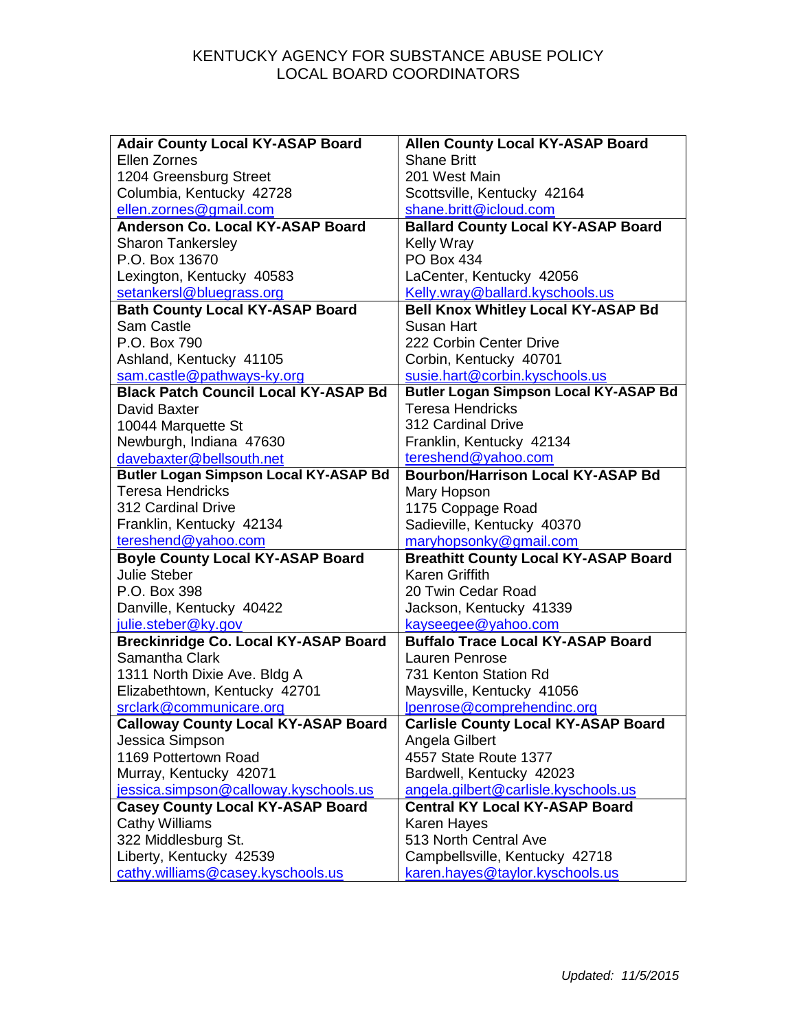| <b>Adair County Local KY-ASAP Board</b>      | <b>Allen County Local KY-ASAP Board</b>      |
|----------------------------------------------|----------------------------------------------|
| Ellen Zornes                                 | <b>Shane Britt</b>                           |
| 1204 Greensburg Street                       | 201 West Main                                |
| Columbia, Kentucky 42728                     | Scottsville, Kentucky 42164                  |
| ellen.zornes@gmail.com                       | shane.britt@icloud.com                       |
| <b>Anderson Co. Local KY-ASAP Board</b>      | <b>Ballard County Local KY-ASAP Board</b>    |
| <b>Sharon Tankersley</b>                     | <b>Kelly Wray</b>                            |
| P.O. Box 13670                               | <b>PO Box 434</b>                            |
| Lexington, Kentucky 40583                    | LaCenter, Kentucky 42056                     |
| setankersl@bluegrass.org                     | Kelly.wray@ballard.kyschools.us              |
| <b>Bath County Local KY-ASAP Board</b>       | <b>Bell Knox Whitley Local KY-ASAP Bd</b>    |
| Sam Castle                                   | <b>Susan Hart</b>                            |
| P.O. Box 790                                 | 222 Corbin Center Drive                      |
| Ashland, Kentucky 41105                      | Corbin, Kentucky 40701                       |
| sam.castle@pathways-ky.org                   | susie.hart@corbin.kyschools.us               |
| <b>Black Patch Council Local KY-ASAP Bd</b>  | <b>Butler Logan Simpson Local KY-ASAP Bd</b> |
| David Baxter                                 | <b>Teresa Hendricks</b>                      |
| 10044 Marquette St                           | 312 Cardinal Drive                           |
| Newburgh, Indiana 47630                      | Franklin, Kentucky 42134                     |
| davebaxter@bellsouth.net                     | tereshend@yahoo.com                          |
| <b>Butler Logan Simpson Local KY-ASAP Bd</b> | <b>Bourbon/Harrison Local KY-ASAP Bd</b>     |
| <b>Teresa Hendricks</b>                      | Mary Hopson                                  |
| 312 Cardinal Drive                           | 1175 Coppage Road                            |
| Franklin, Kentucky 42134                     | Sadieville, Kentucky 40370                   |
| tereshend@yahoo.com                          | maryhopsonky@gmail.com                       |
| <b>Boyle County Local KY-ASAP Board</b>      | <b>Breathitt County Local KY-ASAP Board</b>  |
| <b>Julie Steber</b>                          | <b>Karen Griffith</b>                        |
| P.O. Box 398                                 | 20 Twin Cedar Road                           |
| Danville, Kentucky 40422                     | Jackson, Kentucky 41339                      |
| julie.steber@ky.gov                          | kayseegee@yahoo.com                          |
| <b>Breckinridge Co. Local KY-ASAP Board</b>  | <b>Buffalo Trace Local KY-ASAP Board</b>     |
| Samantha Clark                               | Lauren Penrose                               |
| 1311 North Dixie Ave. Bldg A                 | 731 Kenton Station Rd                        |
| Elizabethtown, Kentucky 42701                | Maysville, Kentucky 41056                    |
| srclark@communicare.org                      | lpenrose@comprehendinc.org                   |
| <b>Calloway County Local KY-ASAP Board</b>   | <b>Carlisle County Local KY-ASAP Board</b>   |
| Jessica Simpson                              | Angela Gilbert                               |
| 1169 Pottertown Road                         | 4557 State Route 1377                        |
| Murray, Kentucky 42071                       | Bardwell, Kentucky 42023                     |
| jessica.simpson@calloway.kyschools.us        | angela.gilbert@carlisle.kyschools.us         |
| <b>Casey County Local KY-ASAP Board</b>      | <b>Central KY Local KY-ASAP Board</b>        |
| <b>Cathy Williams</b>                        | Karen Hayes                                  |
| 322 Middlesburg St.                          | 513 North Central Ave                        |
| Liberty, Kentucky 42539                      | Campbellsville, Kentucky 42718               |
| cathy.williams@casey.kyschools.us            | karen.hayes@taylor.kyschools.us              |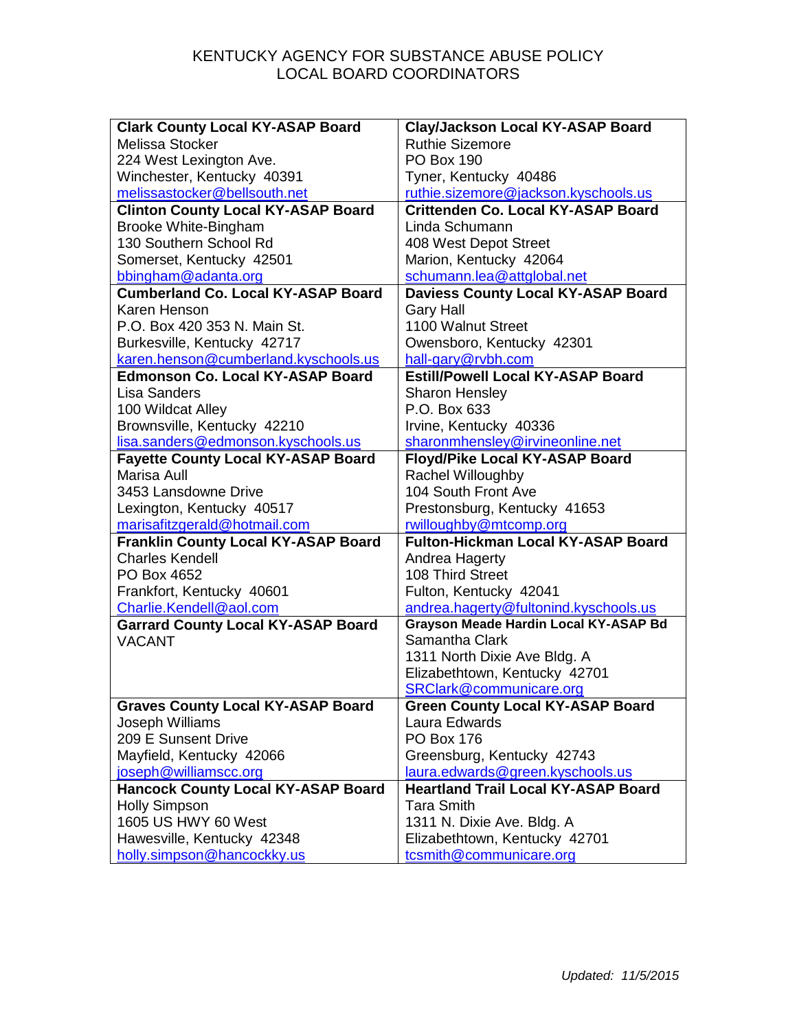| <b>Clark County Local KY-ASAP Board</b>    | <b>Clay/Jackson Local KY-ASAP Board</b>      |
|--------------------------------------------|----------------------------------------------|
| Melissa Stocker                            | <b>Ruthie Sizemore</b>                       |
| 224 West Lexington Ave.                    | <b>PO Box 190</b>                            |
| Winchester, Kentucky 40391                 | Tyner, Kentucky 40486                        |
| melissastocker@bellsouth.net               | ruthie.sizemore@jackson.kyschools.us         |
| <b>Clinton County Local KY-ASAP Board</b>  | <b>Crittenden Co. Local KY-ASAP Board</b>    |
| Brooke White-Bingham                       | Linda Schumann                               |
| 130 Southern School Rd                     | 408 West Depot Street                        |
| Somerset, Kentucky 42501                   | Marion, Kentucky 42064                       |
| bbingham@adanta.org                        | schumann.lea@attglobal.net                   |
| <b>Cumberland Co. Local KY-ASAP Board</b>  | <b>Daviess County Local KY-ASAP Board</b>    |
| Karen Henson                               | <b>Gary Hall</b>                             |
| P.O. Box 420 353 N. Main St.               | 1100 Walnut Street                           |
| Burkesville, Kentucky 42717                | Owensboro, Kentucky 42301                    |
| karen.henson@cumberland.kyschools.us       | hall-gary@rvbh.com                           |
| <b>Edmonson Co. Local KY-ASAP Board</b>    | <b>Estill/Powell Local KY-ASAP Board</b>     |
| <b>Lisa Sanders</b>                        | <b>Sharon Hensley</b>                        |
| 100 Wildcat Alley                          | P.O. Box 633                                 |
| Brownsville, Kentucky 42210                | Irvine, Kentucky 40336                       |
| lisa.sanders@edmonson.kyschools.us         | sharonmhensley@irvineonline.net              |
| <b>Fayette County Local KY-ASAP Board</b>  | Floyd/Pike Local KY-ASAP Board               |
| Marisa Aull                                | <b>Rachel Willoughby</b>                     |
| 3453 Lansdowne Drive                       | 104 South Front Ave                          |
| Lexington, Kentucky 40517                  | Prestonsburg, Kentucky 41653                 |
| marisafitzgerald@hotmail.com               | rwilloughby@mtcomp.org                       |
| <b>Franklin County Local KY-ASAP Board</b> | <b>Fulton-Hickman Local KY-ASAP Board</b>    |
| <b>Charles Kendell</b>                     | Andrea Hagerty                               |
| PO Box 4652                                | 108 Third Street                             |
| Frankfort, Kentucky 40601                  | Fulton, Kentucky 42041                       |
| Charlie.Kendell@aol.com                    | andrea.hagerty@fultonind.kyschools.us        |
| <b>Garrard County Local KY-ASAP Board</b>  | <b>Grayson Meade Hardin Local KY-ASAP Bd</b> |
| <b>VACANT</b>                              | Samantha Clark                               |
|                                            | 1311 North Dixie Ave Bldg. A                 |
|                                            | Elizabethtown, Kentucky 42701                |
|                                            | SRClark@communicare.org                      |
| <b>Graves County Local KY-ASAP Board</b>   | <b>Green County Local KY-ASAP Board</b>      |
| Joseph Williams                            | Laura Edwards                                |
| 209 E Sunsent Drive                        | <b>PO Box 176</b>                            |
| Mayfield, Kentucky 42066                   | Greensburg, Kentucky 42743                   |
| joseph@williamscc.org                      | laura.edwards@green.kyschools.us             |
| <b>Hancock County Local KY-ASAP Board</b>  | <b>Heartland Trail Local KY-ASAP Board</b>   |
| <b>Holly Simpson</b>                       | <b>Tara Smith</b>                            |
| 1605 US HWY 60 West                        | 1311 N. Dixie Ave. Bldg. A                   |
| Hawesville, Kentucky 42348                 | Elizabethtown, Kentucky 42701                |
| holly.simpson@hancockky.us                 | tcsmith@communicare.org                      |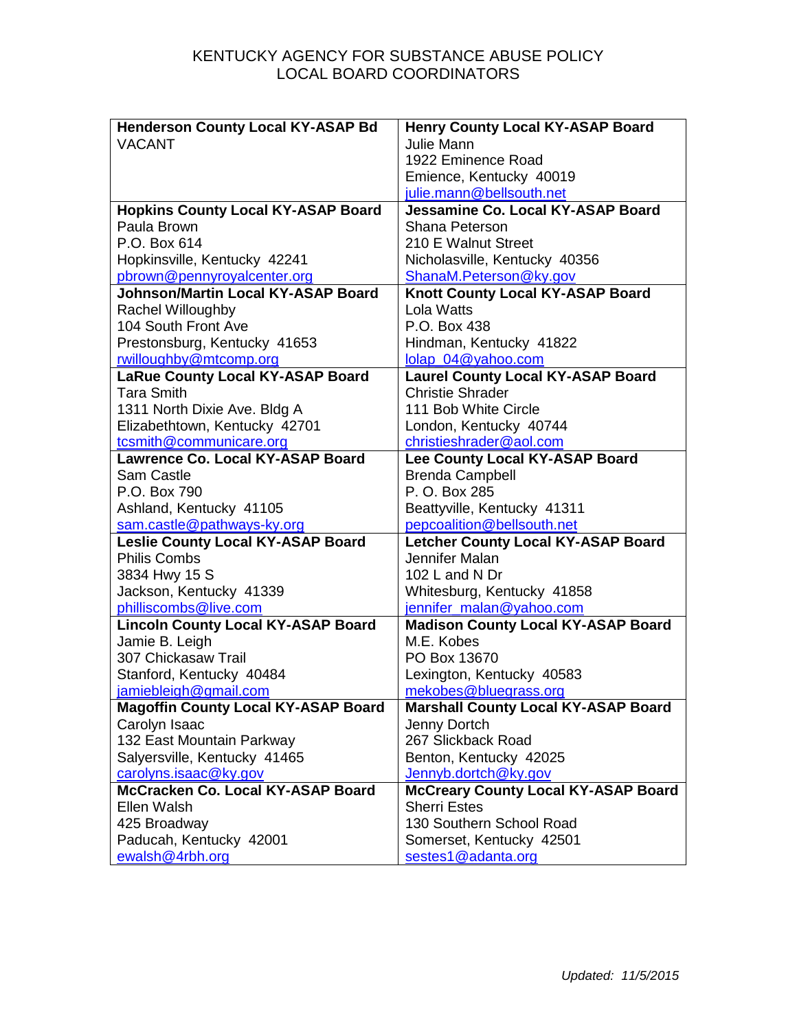| <b>Henderson County Local KY-ASAP Bd</b>   | <b>Henry County Local KY-ASAP Board</b>    |
|--------------------------------------------|--------------------------------------------|
| <b>VACANT</b>                              | Julie Mann                                 |
|                                            | 1922 Eminence Road                         |
|                                            | Emience, Kentucky 40019                    |
|                                            | julie.mann@bellsouth.net                   |
| <b>Hopkins County Local KY-ASAP Board</b>  | Jessamine Co. Local KY-ASAP Board          |
| Paula Brown                                | Shana Peterson                             |
| P.O. Box 614                               | 210 E Walnut Street                        |
| Hopkinsville, Kentucky 42241               | Nicholasville, Kentucky 40356              |
| pbrown@pennyroyalcenter.org                | ShanaM.Peterson@ky.gov                     |
| <b>Johnson/Martin Local KY-ASAP Board</b>  | Knott County Local KY-ASAP Board           |
| Rachel Willoughby                          | Lola Watts                                 |
| 104 South Front Ave                        | P.O. Box 438                               |
| Prestonsburg, Kentucky 41653               | Hindman, Kentucky 41822                    |
| rwilloughby@mtcomp.org                     | lolap 04@yahoo.com                         |
| LaRue County Local KY-ASAP Board           | <b>Laurel County Local KY-ASAP Board</b>   |
| <b>Tara Smith</b>                          | <b>Christie Shrader</b>                    |
| 1311 North Dixie Ave. Bldg A               | 111 Bob White Circle                       |
| Elizabethtown, Kentucky 42701              | London, Kentucky 40744                     |
| tcsmith@communicare.org                    | christieshrader@aol.com                    |
| <b>Lawrence Co. Local KY-ASAP Board</b>    | Lee County Local KY-ASAP Board             |
| Sam Castle                                 | <b>Brenda Campbell</b>                     |
| P.O. Box 790                               | P. O. Box 285                              |
| Ashland, Kentucky 41105                    | Beattyville, Kentucky 41311                |
| sam.castle@pathways-ky.org                 | pepcoalition@bellsouth.net                 |
| <b>Leslie County Local KY-ASAP Board</b>   | <b>Letcher County Local KY-ASAP Board</b>  |
| <b>Philis Combs</b>                        | Jennifer Malan                             |
| 3834 Hwy 15 S                              | 102 L and N Dr                             |
| Jackson, Kentucky 41339                    | Whitesburg, Kentucky 41858                 |
| philliscombs@live.com                      | jennifer malan@yahoo.com                   |
| <b>Lincoln County Local KY-ASAP Board</b>  | <b>Madison County Local KY-ASAP Board</b>  |
| Jamie B. Leigh                             | M.E. Kobes                                 |
| 307 Chickasaw Trail                        | PO Box 13670                               |
| Stanford, Kentucky 40484                   | Lexington, Kentucky 40583                  |
| jamiebleigh@gmail.com                      | mekobes@bluegrass.org                      |
| <b>Magoffin County Local KY-ASAP Board</b> | <b>Marshall County Local KY-ASAP Board</b> |
| Carolyn Isaac                              | Jenny Dortch                               |
| 132 East Mountain Parkway                  | 267 Slickback Road                         |
| Salyersville, Kentucky 41465               | Benton, Kentucky 42025                     |
| carolyns.isaac@ky.gov                      | Jennyb.dortch@ky.gov                       |
| McCracken Co. Local KY-ASAP Board          | <b>McCreary County Local KY-ASAP Board</b> |
| Ellen Walsh                                | <b>Sherri Estes</b>                        |
| 425 Broadway                               | 130 Southern School Road                   |
| Paducah, Kentucky 42001                    | Somerset, Kentucky 42501                   |
| ewalsh@4rbh.org                            | sestes1@adanta.org                         |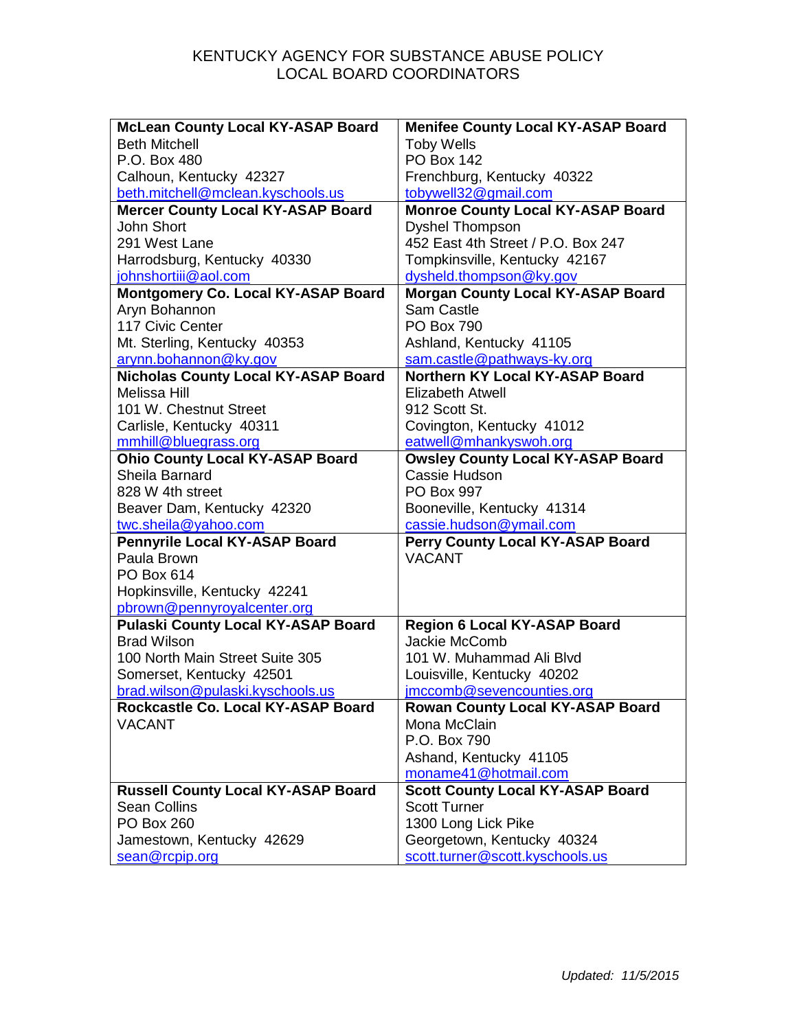| <b>McLean County Local KY-ASAP Board</b>   | <b>Menifee County Local KY-ASAP Board</b> |
|--------------------------------------------|-------------------------------------------|
| <b>Beth Mitchell</b>                       | <b>Toby Wells</b>                         |
| P.O. Box 480                               | <b>PO Box 142</b>                         |
| Calhoun, Kentucky 42327                    | Frenchburg, Kentucky 40322                |
| beth.mitchell@mclean.kyschools.us          | tobywell32@gmail.com                      |
| <b>Mercer County Local KY-ASAP Board</b>   | <b>Monroe County Local KY-ASAP Board</b>  |
| <b>John Short</b>                          | <b>Dyshel Thompson</b>                    |
| 291 West Lane                              | 452 East 4th Street / P.O. Box 247        |
| Harrodsburg, Kentucky 40330                | Tompkinsville, Kentucky 42167             |
| johnshortiii@aol.com                       | dysheld.thompson@ky.gov                   |
| Montgomery Co. Local KY-ASAP Board         | <b>Morgan County Local KY-ASAP Board</b>  |
| Aryn Bohannon                              | <b>Sam Castle</b>                         |
| 117 Civic Center                           | <b>PO Box 790</b>                         |
| Mt. Sterling, Kentucky 40353               | Ashland, Kentucky 41105                   |
| arynn.bohannon@ky.gov                      | sam.castle@pathways-ky.org                |
| <b>Nicholas County Local KY-ASAP Board</b> | Northern KY Local KY-ASAP Board           |
| <b>Melissa Hill</b>                        | Elizabeth Atwell                          |
| 101 W. Chestnut Street                     | 912 Scott St.                             |
| Carlisle, Kentucky 40311                   | Covington, Kentucky 41012                 |
| mmhill@bluegrass.org                       | eatwell@mhankyswoh.org                    |
| <b>Ohio County Local KY-ASAP Board</b>     | <b>Owsley County Local KY-ASAP Board</b>  |
| Sheila Barnard                             | Cassie Hudson                             |
| 828 W 4th street                           | PO Box 997                                |
| Beaver Dam, Kentucky 42320                 | Booneville, Kentucky 41314                |
| twc.sheila@yahoo.com                       | cassie.hudson@ymail.com                   |
| <b>Pennyrile Local KY-ASAP Board</b>       | Perry County Local KY-ASAP Board          |
| Paula Brown                                | <b>VACANT</b>                             |
| PO Box 614                                 |                                           |
| Hopkinsville, Kentucky 42241               |                                           |
| pbrown@pennyroyalcenter.org                |                                           |
| <b>Pulaski County Local KY-ASAP Board</b>  | <b>Region 6 Local KY-ASAP Board</b>       |
| <b>Brad Wilson</b>                         | Jackie McComb                             |
| 100 North Main Street Suite 305            | 101 W. Muhammad Ali Blyd                  |
| Somerset, Kentucky 42501                   | Louisville, Kentucky 40202                |
| brad.wilson@pulaski.kyschools.us           | imccomb@sevencounties.org                 |
| Rockcastle Co. Local KY-ASAP Board         | <b>Rowan County Local KY-ASAP Board</b>   |
| <b>VACANT</b>                              | Mona McClain                              |
|                                            | P.O. Box 790                              |
|                                            | Ashand, Kentucky 41105                    |
|                                            | moname41@hotmail.com                      |
| <b>Russell County Local KY-ASAP Board</b>  | <b>Scott County Local KY-ASAP Board</b>   |
| <b>Sean Collins</b>                        | <b>Scott Turner</b>                       |
| <b>PO Box 260</b>                          | 1300 Long Lick Pike                       |
| Jamestown, Kentucky 42629                  | Georgetown, Kentucky 40324                |
| sean@rcpip.org                             | scott.turner@scott.kyschools.us           |